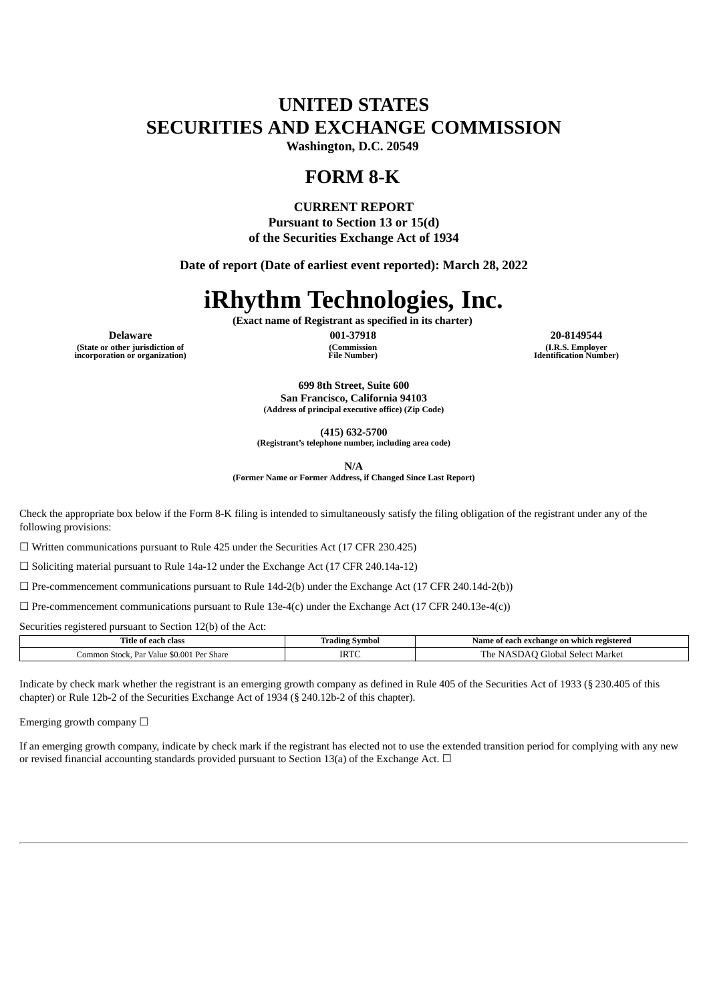# **UNITED STATES SECURITIES AND EXCHANGE COMMISSION**

**Washington, D.C. 20549**

# **FORM 8-K**

**CURRENT REPORT**

**Pursuant to Section 13 or 15(d) of the Securities Exchange Act of 1934**

**Date of report (Date of earliest event reported): March 28, 2022**

# **iRhythm Technologies, Inc.**

**(Exact name of Registrant as specified in its charter)**

**(State or other jurisdiction of incorporation or organization)** **(Commission File Number)**

**Delaware 001-37918 20-8149544 (I.R.S. Employer Identification Number)**

> **699 8th Street, Suite 600 San Francisco, California 94103 (Address of principal executive office) (Zip Code)**

> > **(415) 632-5700**

**(Registrant's telephone number, including area code)**

**N/A**

**(Former Name or Former Address, if Changed Since Last Report)**

Check the appropriate box below if the Form 8-K filing is intended to simultaneously satisfy the filing obligation of the registrant under any of the following provisions:

☐ Written communications pursuant to Rule 425 under the Securities Act (17 CFR 230.425)

☐ Soliciting material pursuant to Rule 14a-12 under the Exchange Act (17 CFR 240.14a-12)

 $\Box$  Pre-commencement communications pursuant to Rule 14d-2(b) under the Exchange Act (17 CFR 240.14d-2(b))

 $\Box$  Pre-commencement communications pursuant to Rule 13e-4(c) under the Exchange Act (17 CFR 240.13e-4(c))

Securities registered pursuant to Section 12(b) of the Act:

| ∣`itle<br>clas<br>oт                                                           | Symbol<br>adın | registered<br>Name<br>exchange<br>≀ on which<br>eact |
|--------------------------------------------------------------------------------|----------------|------------------------------------------------------|
| .00<br>$\mathbf{D}$<br>.ommc<br>Value<br>Do<br>Share<br>-stock<br>$\mathbf{r}$ | <b>IRT</b>     | The<br>Market<br>' ilobal<br>Selec                   |

Indicate by check mark whether the registrant is an emerging growth company as defined in Rule 405 of the Securities Act of 1933 (§ 230.405 of this chapter) or Rule 12b-2 of the Securities Exchange Act of 1934 (§ 240.12b-2 of this chapter).

Emerging growth company  $\Box$ 

If an emerging growth company, indicate by check mark if the registrant has elected not to use the extended transition period for complying with any new or revised financial accounting standards provided pursuant to Section 13(a) of the Exchange Act.  $\Box$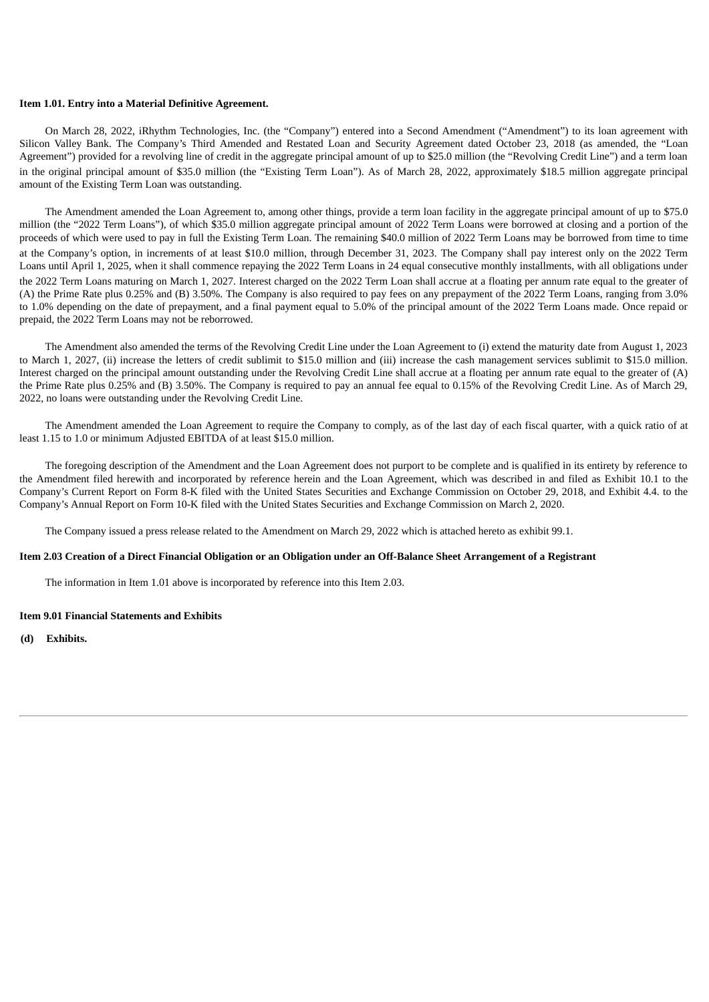#### **Item 1.01. Entry into a Material Definitive Agreement.**

On March 28, 2022, iRhythm Technologies, Inc. (the "Company") entered into a Second Amendment ("Amendment") to its loan agreement with Silicon Valley Bank. The Company's Third Amended and Restated Loan and Security Agreement dated October 23, 2018 (as amended, the "Loan Agreement") provided for a revolving line of credit in the aggregate principal amount of up to \$25.0 million (the "Revolving Credit Line") and a term loan in the original principal amount of \$35.0 million (the "Existing Term Loan"). As of March 28, 2022, approximately \$18.5 million aggregate principal amount of the Existing Term Loan was outstanding.

The Amendment amended the Loan Agreement to, among other things, provide a term loan facility in the aggregate principal amount of up to \$75.0 million (the "2022 Term Loans"), of which \$35.0 million aggregate principal amount of 2022 Term Loans were borrowed at closing and a portion of the proceeds of which were used to pay in full the Existing Term Loan. The remaining \$40.0 million of 2022 Term Loans may be borrowed from time to time at the Company's option, in increments of at least \$10.0 million, through December 31, 2023. The Company shall pay interest only on the 2022 Term Loans until April 1, 2025, when it shall commence repaying the 2022 Term Loans in 24 equal consecutive monthly installments, with all obligations under the 2022 Term Loans maturing on March 1, 2027. Interest charged on the 2022 Term Loan shall accrue at a floating per annum rate equal to the greater of (A) the Prime Rate plus 0.25% and (B) 3.50%. The Company is also required to pay fees on any prepayment of the 2022 Term Loans, ranging from 3.0% to 1.0% depending on the date of prepayment, and a final payment equal to 5.0% of the principal amount of the 2022 Term Loans made. Once repaid or prepaid, the 2022 Term Loans may not be reborrowed.

The Amendment also amended the terms of the Revolving Credit Line under the Loan Agreement to (i) extend the maturity date from August 1, 2023 to March 1, 2027, (ii) increase the letters of credit sublimit to \$15.0 million and (iii) increase the cash management services sublimit to \$15.0 million. Interest charged on the principal amount outstanding under the Revolving Credit Line shall accrue at a floating per annum rate equal to the greater of (A) the Prime Rate plus 0.25% and (B) 3.50%. The Company is required to pay an annual fee equal to 0.15% of the Revolving Credit Line. As of March 29, 2022, no loans were outstanding under the Revolving Credit Line.

The Amendment amended the Loan Agreement to require the Company to comply, as of the last day of each fiscal quarter, with a quick ratio of at least 1.15 to 1.0 or minimum Adjusted EBITDA of at least \$15.0 million.

The foregoing description of the Amendment and the Loan Agreement does not purport to be complete and is qualified in its entirety by reference to the Amendment filed herewith and incorporated by reference herein and the Loan Agreement, which was described in and filed as Exhibit 10.1 to the Company's Current Report on Form 8-K filed with the United States Securities and Exchange Commission on October 29, 2018, and Exhibit 4.4. to the Company's Annual Report on Form 10-K filed with the United States Securities and Exchange Commission on March 2, 2020.

The Company issued a press release related to the Amendment on March 29, 2022 which is attached hereto as exhibit 99.1.

#### Item 2.03 Creation of a Direct Financial Obligation or an Obligation under an Off-Balance Sheet Arrangement of a Registrant

The information in Item 1.01 above is incorporated by reference into this Item 2.03.

#### **Item 9.01 Financial Statements and Exhibits**

**(d) Exhibits.**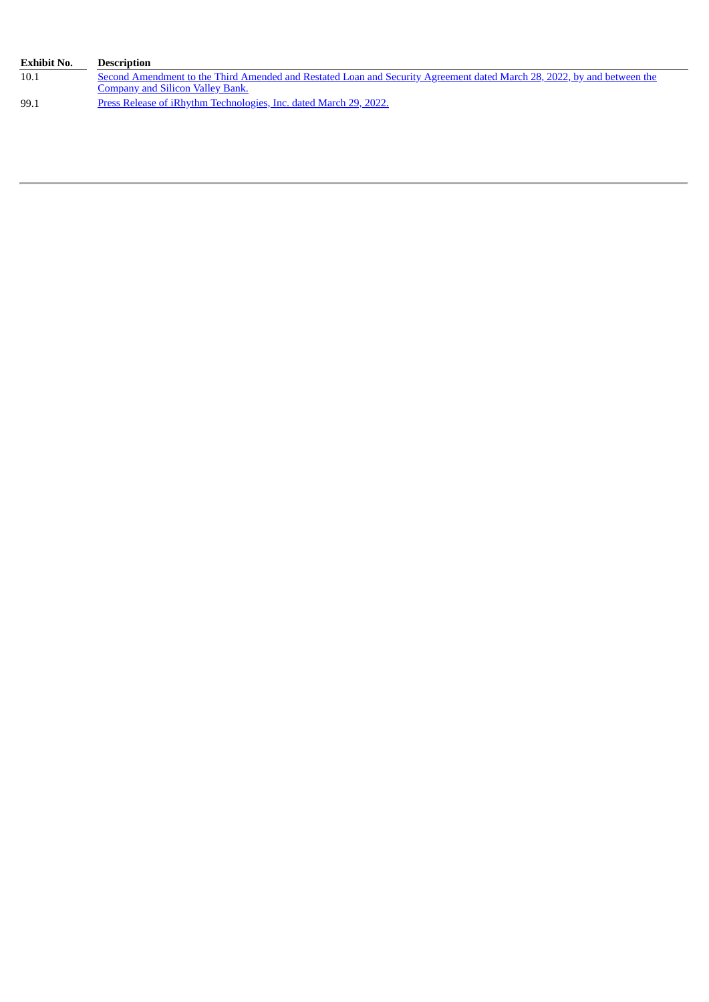| Exhibit No. | <b>Description</b>                                                                                                      |
|-------------|-------------------------------------------------------------------------------------------------------------------------|
| 10.1        | Second Amendment to the Third Amended and Restated Loan and Security Agreement dated March 28, 2022, by and between the |
|             | <b>Company and Silicon Valley Bank.</b>                                                                                 |
| 99.1        | Press Release of iRhythm Technologies, Inc. dated March 29, 2022.                                                       |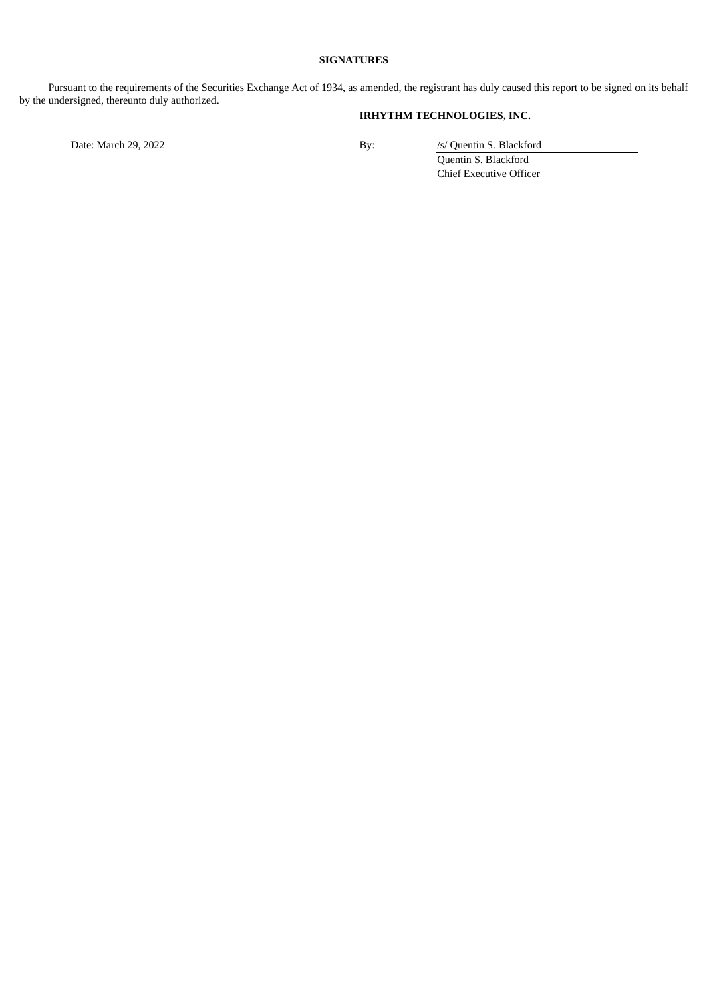# **SIGNATURES**

Pursuant to the requirements of the Securities Exchange Act of 1934, as amended, the registrant has duly caused this report to be signed on its behalf by the undersigned, thereunto duly authorized.

# **IRHYTHM TECHNOLOGIES, INC.**

Date: March 29, 2022 By: */s/ Quentin S. Blackford* Quentin S. Blackford Chief Executive Officer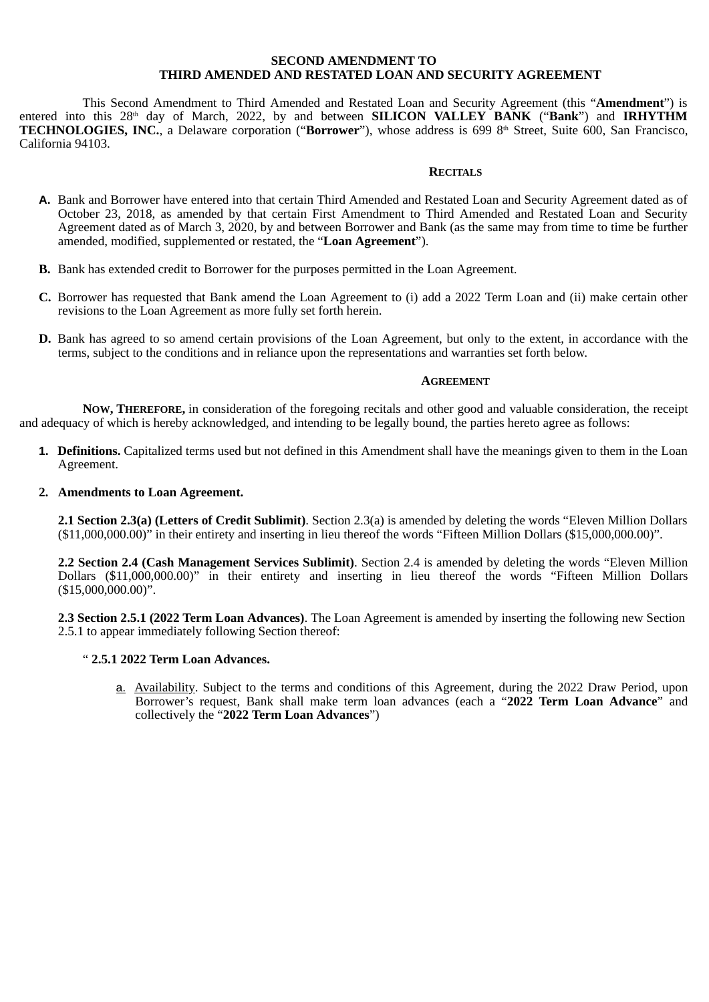# **SECOND AMENDMENT TO THIRD AMENDED AND RESTATED LOAN AND SECURITY AGREEMENT**

<span id="page-4-0"></span>This Second Amendment to Third Amended and Restated Loan and Security Agreement (this "**Amendment**") is entered into this 28<sup>th</sup> day of March, 2022, by and between **SILICON VALLEY BANK** ("**Bank**") and **IRHYTHM TECHNOLOGIES, INC.**, a Delaware corporation ("Borrower"), whose address is 699 8<sup>th</sup> Street, Suite 600, San Francisco, California 94103.

# **RECITALS**

- **A.** Bank and Borrower have entered into that certain Third Amended and Restated Loan and Security Agreement dated as of October 23, 2018, as amended by that certain First Amendment to Third Amended and Restated Loan and Security Agreement dated as of March 3, 2020, by and between Borrower and Bank (as the same may from time to time be further amended, modified, supplemented or restated, the "**Loan Agreement**").
- **B.** Bank has extended credit to Borrower for the purposes permitted in the Loan Agreement.
- **C.** Borrower has requested that Bank amend the Loan Agreement to (i) add a 2022 Term Loan and (ii) make certain other revisions to the Loan Agreement as more fully set forth herein.
- **D.** Bank has agreed to so amend certain provisions of the Loan Agreement, but only to the extent, in accordance with the terms, subject to the conditions and in reliance upon the representations and warranties set forth below.

# **AGREEMENT**

**NOW, THEREFORE,** in consideration of the foregoing recitals and other good and valuable consideration, the receipt and adequacy of which is hereby acknowledged, and intending to be legally bound, the parties hereto agree as follows:

- **1. Definitions.** Capitalized terms used but not defined in this Amendment shall have the meanings given to them in the Loan Agreement.
- **2. Amendments to Loan Agreement.**

**2.1 Section 2.3(a) (Letters of Credit Sublimit)**. Section 2.3(a) is amended by deleting the words "Eleven Million Dollars (\$11,000,000.00)" in their entirety and inserting in lieu thereof the words "Fifteen Million Dollars (\$15,000,000.00)".

**2.2 Section 2.4 (Cash Management Services Sublimit)**. Section 2.4 is amended by deleting the words "Eleven Million Dollars (\$11,000,000.00)" in their entirety and inserting in lieu thereof the words "Fifteen Million Dollars (\$15,000,000.00)".

**2.3 Section 2.5.1 (2022 Term Loan Advances)**. The Loan Agreement is amended by inserting the following new Section 2.5.1 to appear immediately following Section thereof:

# " **2.5.1 2022 Term Loan Advances.**

a. Availability. Subject to the terms and conditions of this Agreement, during the 2022 Draw Period, upon Borrower's request, Bank shall make term loan advances (each a "**2022 Term Loan Advance**" and collectively the "**2022 Term Loan Advances**")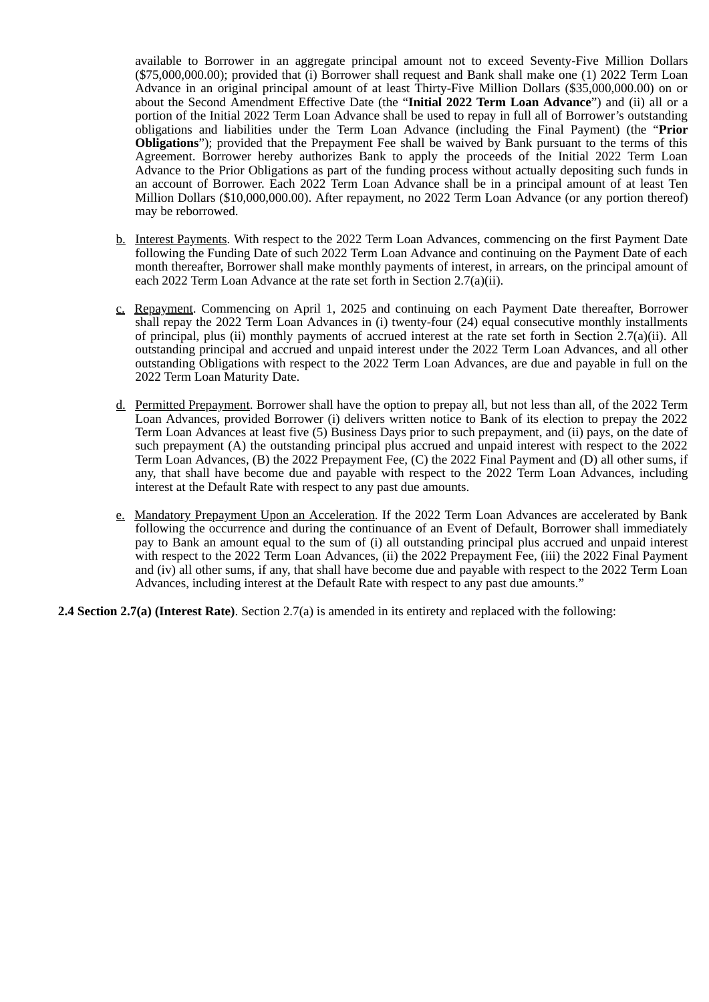available to Borrower in an aggregate principal amount not to exceed Seventy-Five Million Dollars (\$75,000,000.00); provided that (i) Borrower shall request and Bank shall make one (1) 2022 Term Loan Advance in an original principal amount of at least Thirty-Five Million Dollars (\$35,000,000.00) on or about the Second Amendment Effective Date (the "**Initial 2022 Term Loan Advance**") and (ii) all or a portion of the Initial 2022 Term Loan Advance shall be used to repay in full all of Borrower's outstanding obligations and liabilities under the Term Loan Advance (including the Final Payment) (the "**Prior Obligations**"); provided that the Prepayment Fee shall be waived by Bank pursuant to the terms of this Agreement. Borrower hereby authorizes Bank to apply the proceeds of the Initial 2022 Term Loan Advance to the Prior Obligations as part of the funding process without actually depositing such funds in an account of Borrower. Each 2022 Term Loan Advance shall be in a principal amount of at least Ten Million Dollars (\$10,000,000.00). After repayment, no 2022 Term Loan Advance (or any portion thereof) may be reborrowed.

- b. Interest Payments. With respect to the 2022 Term Loan Advances, commencing on the first Payment Date following the Funding Date of such 2022 Term Loan Advance and continuing on the Payment Date of each month thereafter, Borrower shall make monthly payments of interest, in arrears, on the principal amount of each 2022 Term Loan Advance at the rate set forth in Section 2.7(a)(ii).
- c. Repayment. Commencing on April 1, 2025 and continuing on each Payment Date thereafter, Borrower shall repay the 2022 Term Loan Advances in (i) twenty-four (24) equal consecutive monthly installments of principal, plus (ii) monthly payments of accrued interest at the rate set forth in Section 2.7(a)(ii). All outstanding principal and accrued and unpaid interest under the 2022 Term Loan Advances, and all other outstanding Obligations with respect to the 2022 Term Loan Advances, are due and payable in full on the 2022 Term Loan Maturity Date.
- d. Permitted Prepayment. Borrower shall have the option to prepay all, but not less than all, of the 2022 Term Loan Advances, provided Borrower (i) delivers written notice to Bank of its election to prepay the 2022 Term Loan Advances at least five (5) Business Days prior to such prepayment, and (ii) pays, on the date of such prepayment (A) the outstanding principal plus accrued and unpaid interest with respect to the 2022 Term Loan Advances, (B) the 2022 Prepayment Fee, (C) the 2022 Final Payment and (D) all other sums, if any, that shall have become due and payable with respect to the 2022 Term Loan Advances, including interest at the Default Rate with respect to any past due amounts.
- e. Mandatory Prepayment Upon an Acceleration. If the 2022 Term Loan Advances are accelerated by Bank following the occurrence and during the continuance of an Event of Default, Borrower shall immediately pay to Bank an amount equal to the sum of (i) all outstanding principal plus accrued and unpaid interest with respect to the 2022 Term Loan Advances, (ii) the 2022 Prepayment Fee, (iii) the 2022 Final Payment and (iv) all other sums, if any, that shall have become due and payable with respect to the 2022 Term Loan Advances, including interest at the Default Rate with respect to any past due amounts."

**2.4 Section 2.7(a) (Interest Rate)**. Section 2.7(a) is amended in its entirety and replaced with the following: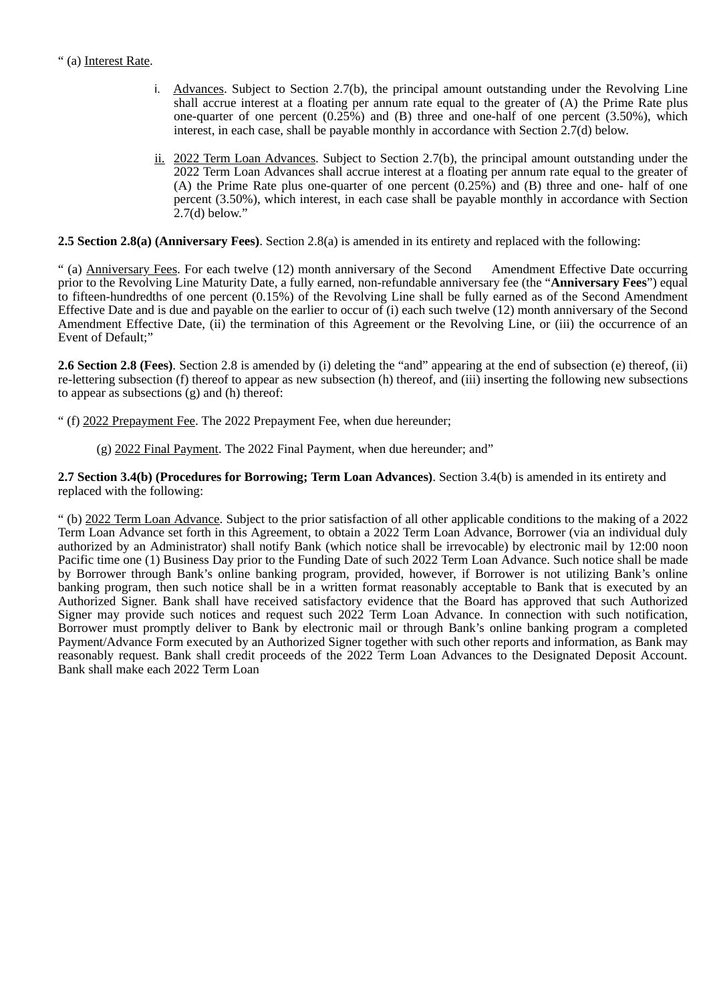# " (a) Interest Rate.

- i. Advances. Subject to Section 2.7(b), the principal amount outstanding under the Revolving Line shall accrue interest at a floating per annum rate equal to the greater of  $(A)$  the Prime Rate plus one-quarter of one percent (0.25%) and (B) three and one-half of one percent (3.50%), which interest, in each case, shall be payable monthly in accordance with Section 2.7(d) below.
- ii. 2022 Term Loan Advances. Subject to Section 2.7(b), the principal amount outstanding under the 2022 Term Loan Advances shall accrue interest at a floating per annum rate equal to the greater of (A) the Prime Rate plus one-quarter of one percent (0.25%) and (B) three and one- half of one percent (3.50%), which interest, in each case shall be payable monthly in accordance with Section 2.7(d) below."

**2.5 Section 2.8(a) (Anniversary Fees)**. Section 2.8(a) is amended in its entirety and replaced with the following:

" (a) Anniversary Fees. For each twelve (12) month anniversary of the Second Amendment Effective Date occurring prior to the Revolving Line Maturity Date, a fully earned, non-refundable anniversary fee (the "**Anniversary Fees**") equal to fifteen-hundredths of one percent (0.15%) of the Revolving Line shall be fully earned as of the Second Amendment Effective Date and is due and payable on the earlier to occur of (i) each such twelve (12) month anniversary of the Second Amendment Effective Date, (ii) the termination of this Agreement or the Revolving Line, or (iii) the occurrence of an Event of Default;"

**2.6 Section 2.8 (Fees)**. Section 2.8 is amended by (i) deleting the "and" appearing at the end of subsection (e) thereof, (ii) re-lettering subsection (f) thereof to appear as new subsection (h) thereof, and (iii) inserting the following new subsections to appear as subsections (g) and (h) thereof:

- " (f) 2022 Prepayment Fee. The 2022 Prepayment Fee, when due hereunder;
	- (g) 2022 Final Payment. The 2022 Final Payment, when due hereunder; and"

**2.7 Section 3.4(b) (Procedures for Borrowing; Term Loan Advances)**. Section 3.4(b) is amended in its entirety and replaced with the following:

" (b) 2022 Term Loan Advance. Subject to the prior satisfaction of all other applicable conditions to the making of a 2022 Term Loan Advance set forth in this Agreement, to obtain a 2022 Term Loan Advance, Borrower (via an individual duly authorized by an Administrator) shall notify Bank (which notice shall be irrevocable) by electronic mail by 12:00 noon Pacific time one (1) Business Day prior to the Funding Date of such 2022 Term Loan Advance. Such notice shall be made by Borrower through Bank's online banking program, provided, however, if Borrower is not utilizing Bank's online banking program, then such notice shall be in a written format reasonably acceptable to Bank that is executed by an Authorized Signer. Bank shall have received satisfactory evidence that the Board has approved that such Authorized Signer may provide such notices and request such 2022 Term Loan Advance. In connection with such notification, Borrower must promptly deliver to Bank by electronic mail or through Bank's online banking program a completed Payment/Advance Form executed by an Authorized Signer together with such other reports and information, as Bank may reasonably request. Bank shall credit proceeds of the 2022 Term Loan Advances to the Designated Deposit Account. Bank shall make each 2022 Term Loan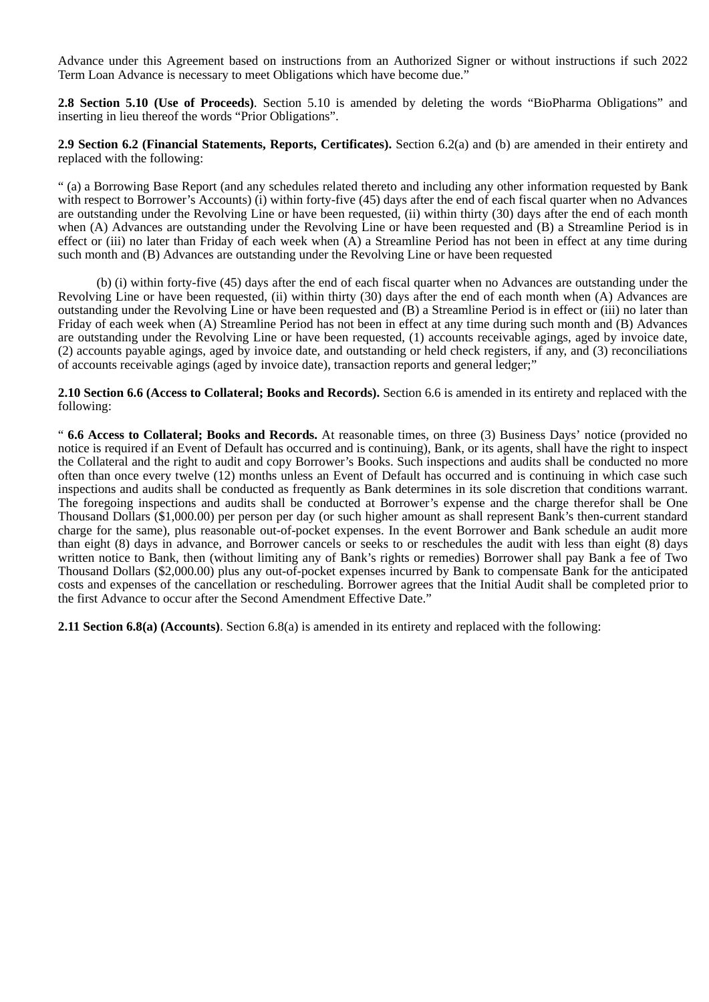Advance under this Agreement based on instructions from an Authorized Signer or without instructions if such 2022 Term Loan Advance is necessary to meet Obligations which have become due."

**2.8 Section 5.10 (Use of Proceeds)**. Section 5.10 is amended by deleting the words "BioPharma Obligations" and inserting in lieu thereof the words "Prior Obligations".

**2.9 Section 6.2 (Financial Statements, Reports, Certificates).** Section 6.2(a) and (b) are amended in their entirety and replaced with the following:

" (a) a Borrowing Base Report (and any schedules related thereto and including any other information requested by Bank with respect to Borrower's Accounts) (i) within forty-five (45) days after the end of each fiscal quarter when no Advances are outstanding under the Revolving Line or have been requested, (ii) within thirty (30) days after the end of each month when (A) Advances are outstanding under the Revolving Line or have been requested and (B) a Streamline Period is in effect or (iii) no later than Friday of each week when  $(A)$  a Streamline Period has not been in effect at any time during such month and (B) Advances are outstanding under the Revolving Line or have been requested

(b) (i) within forty-five (45) days after the end of each fiscal quarter when no Advances are outstanding under the Revolving Line or have been requested, (ii) within thirty (30) days after the end of each month when (A) Advances are outstanding under the Revolving Line or have been requested and (B) a Streamline Period is in effect or (iii) no later than Friday of each week when (A) Streamline Period has not been in effect at any time during such month and (B) Advances are outstanding under the Revolving Line or have been requested, (1) accounts receivable agings, aged by invoice date, (2) accounts payable agings, aged by invoice date, and outstanding or held check registers, if any, and (3) reconciliations of accounts receivable agings (aged by invoice date), transaction reports and general ledger;"

**2.10 Section 6.6 (Access to Collateral; Books and Records).** Section 6.6 is amended in its entirety and replaced with the following:

" **6.6 Access to Collateral; Books and Records.** At reasonable times, on three (3) Business Days' notice (provided no notice is required if an Event of Default has occurred and is continuing), Bank, or its agents, shall have the right to inspect the Collateral and the right to audit and copy Borrower's Books. Such inspections and audits shall be conducted no more often than once every twelve (12) months unless an Event of Default has occurred and is continuing in which case such inspections and audits shall be conducted as frequently as Bank determines in its sole discretion that conditions warrant. The foregoing inspections and audits shall be conducted at Borrower's expense and the charge therefor shall be One Thousand Dollars (\$1,000.00) per person per day (or such higher amount as shall represent Bank's then-current standard charge for the same), plus reasonable out-of-pocket expenses. In the event Borrower and Bank schedule an audit more than eight (8) days in advance, and Borrower cancels or seeks to or reschedules the audit with less than eight (8) days written notice to Bank, then (without limiting any of Bank's rights or remedies) Borrower shall pay Bank a fee of Two Thousand Dollars (\$2,000.00) plus any out-of-pocket expenses incurred by Bank to compensate Bank for the anticipated costs and expenses of the cancellation or rescheduling. Borrower agrees that the Initial Audit shall be completed prior to the first Advance to occur after the Second Amendment Effective Date."

**2.11 Section 6.8(a) (Accounts)**. Section 6.8(a) is amended in its entirety and replaced with the following: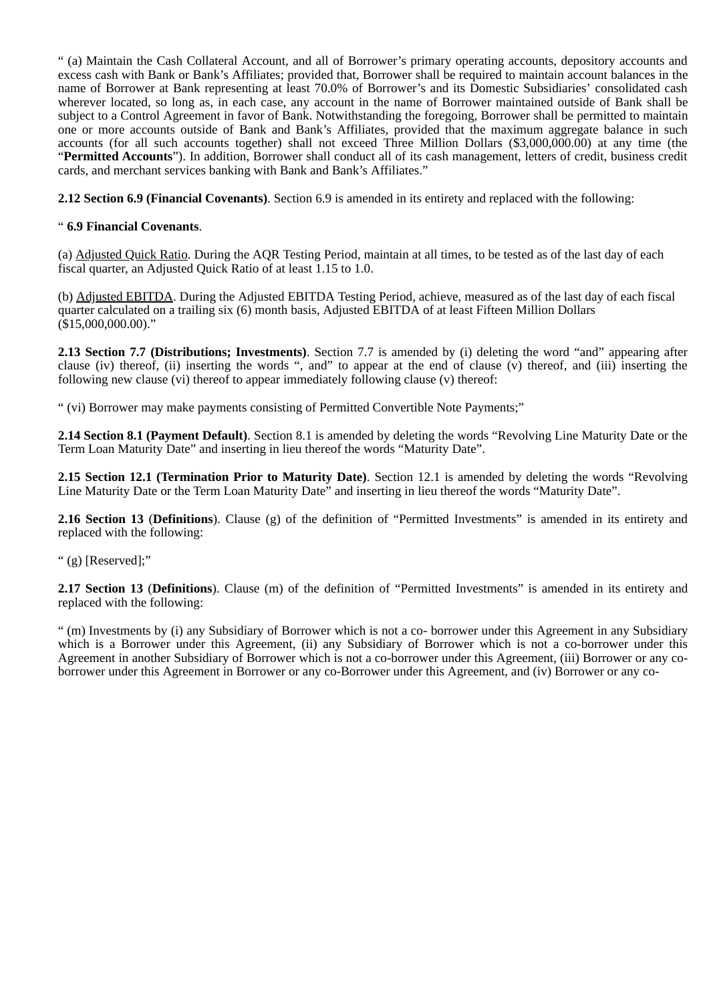" (a) Maintain the Cash Collateral Account, and all of Borrower's primary operating accounts, depository accounts and excess cash with Bank or Bank's Affiliates; provided that, Borrower shall be required to maintain account balances in the name of Borrower at Bank representing at least 70.0% of Borrower's and its Domestic Subsidiaries' consolidated cash wherever located, so long as, in each case, any account in the name of Borrower maintained outside of Bank shall be subiect to a Control Agreement in favor of Bank. Notwithstanding the foregoing, Borrower shall be permitted to maintain one or more accounts outside of Bank and Bank's Affiliates, provided that the maximum aggregate balance in such accounts (for all such accounts together) shall not exceed Three Million Dollars (\$3,000,000.00) at any time (the "**Permitted Accounts**"). In addition, Borrower shall conduct all of its cash management, letters of credit, business credit cards, and merchant services banking with Bank and Bank's Affiliates."

**2.12 Section 6.9 (Financial Covenants)**. Section 6.9 is amended in its entirety and replaced with the following:

# " **6.9 Financial Covenants**.

(a) Adjusted Quick Ratio. During the AQR Testing Period, maintain at all times, to be tested as of the last day of each fiscal quarter, an Adjusted Quick Ratio of at least 1.15 to 1.0.

(b) Adjusted EBITDA. During the Adjusted EBITDA Testing Period, achieve, measured as of the last day of each fiscal quarter calculated on a trailing six (6) month basis, Adjusted EBITDA of at least Fifteen Million Dollars  $($ \$15,000,000.00)."

**2.13 Section 7.7 (Distributions; Investments)**. Section 7.7 is amended by (i) deleting the word "and" appearing after clause (iv) thereof, (ii) inserting the words ", and" to appear at the end of clause (v) thereof, and (iii) inserting the following new clause (vi) thereof to appear immediately following clause (v) thereof:

" (vi) Borrower may make payments consisting of Permitted Convertible Note Payments;"

**2.14 Section 8.1 (Payment Default)**. Section 8.1 is amended by deleting the words "Revolving Line Maturity Date or the Term Loan Maturity Date" and inserting in lieu thereof the words "Maturity Date".

**2.15 Section 12.1 (Termination Prior to Maturity Date)**. Section 12.1 is amended by deleting the words "Revolving Line Maturity Date or the Term Loan Maturity Date" and inserting in lieu thereof the words "Maturity Date".

**2.16 Section 13** (**Definitions**). Clause (g) of the definition of "Permitted Investments" is amended in its entirety and replaced with the following:

" (g) [Reserved];"

**2.17 Section 13** (**Definitions**). Clause (m) of the definition of "Permitted Investments" is amended in its entirety and replaced with the following:

" (m) Investments by (i) any Subsidiary of Borrower which is not a co- borrower under this Agreement in any Subsidiary which is a Borrower under this Agreement, (ii) any Subsidiary of Borrower which is not a co-borrower under this Agreement in another Subsidiary of Borrower which is not a co-borrower under this Agreement, (iii) Borrower or any coborrower under this Agreement in Borrower or any co-Borrower under this Agreement, and (iv) Borrower or any co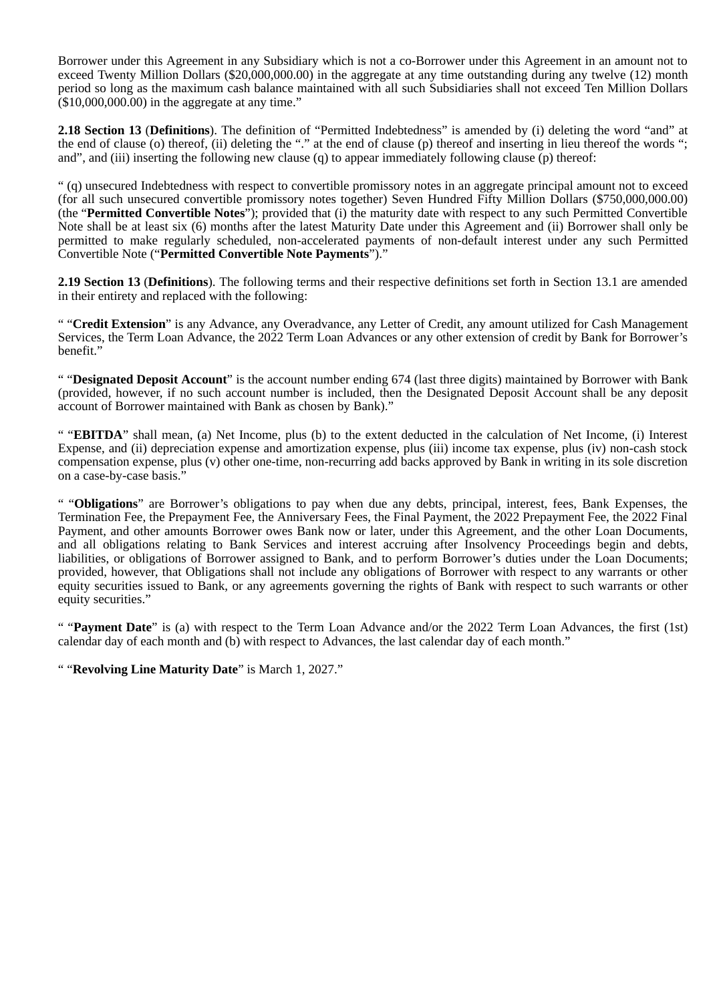Borrower under this Agreement in any Subsidiary which is not a co-Borrower under this Agreement in an amount not to exceed Twenty Million Dollars (\$20,000,000.00) in the aggregate at any time outstanding during any twelve (12) month period so long as the maximum cash balance maintained with all such Subsidiaries shall not exceed Ten Million Dollars (\$10,000,000.00) in the aggregate at any time."

**2.18 Section 13** (**Definitions**). The definition of "Permitted Indebtedness" is amended by (i) deleting the word "and" at the end of clause (o) thereof, (ii) deleting the "." at the end of clause (p) thereof and inserting in lieu thereof the words "; and", and (iii) inserting the following new clause (q) to appear immediately following clause (p) thereof:

" (q) unsecured Indebtedness with respect to convertible promissory notes in an aggregate principal amount not to exceed (for all such unsecured convertible promissory notes together) Seven Hundred Fifty Million Dollars (\$750,000,000.00) (the "**Permitted Convertible Notes**"); provided that (i) the maturity date with respect to any such Permitted Convertible Note shall be at least six (6) months after the latest Maturity Date under this Agreement and (ii) Borrower shall only be permitted to make regularly scheduled, non-accelerated payments of non-default interest under any such Permitted Convertible Note ("**Permitted Convertible Note Payments**")."

**2.19 Section 13** (**Definitions**). The following terms and their respective definitions set forth in Section 13.1 are amended in their entirety and replaced with the following:

" "**Credit Extension**" is any Advance, any Overadvance, any Letter of Credit, any amount utilized for Cash Management Services, the Term Loan Advance, the 2022 Term Loan Advances or any other extension of credit by Bank for Borrower's benefit."

" "**Designated Deposit Account**" is the account number ending 674 (last three digits) maintained by Borrower with Bank (provided, however, if no such account number is included, then the Designated Deposit Account shall be any deposit account of Borrower maintained with Bank as chosen by Bank)."

" "**EBITDA**" shall mean, (a) Net Income, plus (b) to the extent deducted in the calculation of Net Income, (i) Interest Expense, and (ii) depreciation expense and amortization expense, plus (iii) income tax expense, plus (iv) non-cash stock compensation expense, plus (v) other one-time, non-recurring add backs approved by Bank in writing in its sole discretion on a case-by-case basis."

" "**Obligations**" are Borrower's obligations to pay when due any debts, principal, interest, fees, Bank Expenses, the Termination Fee, the Prepayment Fee, the Anniversary Fees, the Final Payment, the 2022 Prepayment Fee, the 2022 Final Payment, and other amounts Borrower owes Bank now or later, under this Agreement, and the other Loan Documents, and all obligations relating to Bank Services and interest accruing after Insolvency Proceedings begin and debts, liabilities, or obligations of Borrower assigned to Bank, and to perform Borrower's duties under the Loan Documents; provided, however, that Obligations shall not include any obligations of Borrower with respect to any warrants or other equity securities issued to Bank, or any agreements governing the rights of Bank with respect to such warrants or other equity securities."

" "**Payment Date**" is (a) with respect to the Term Loan Advance and/or the 2022 Term Loan Advances, the first (1st) calendar day of each month and (b) with respect to Advances, the last calendar day of each month."

" "**Revolving Line Maturity Date**" is March 1, 2027."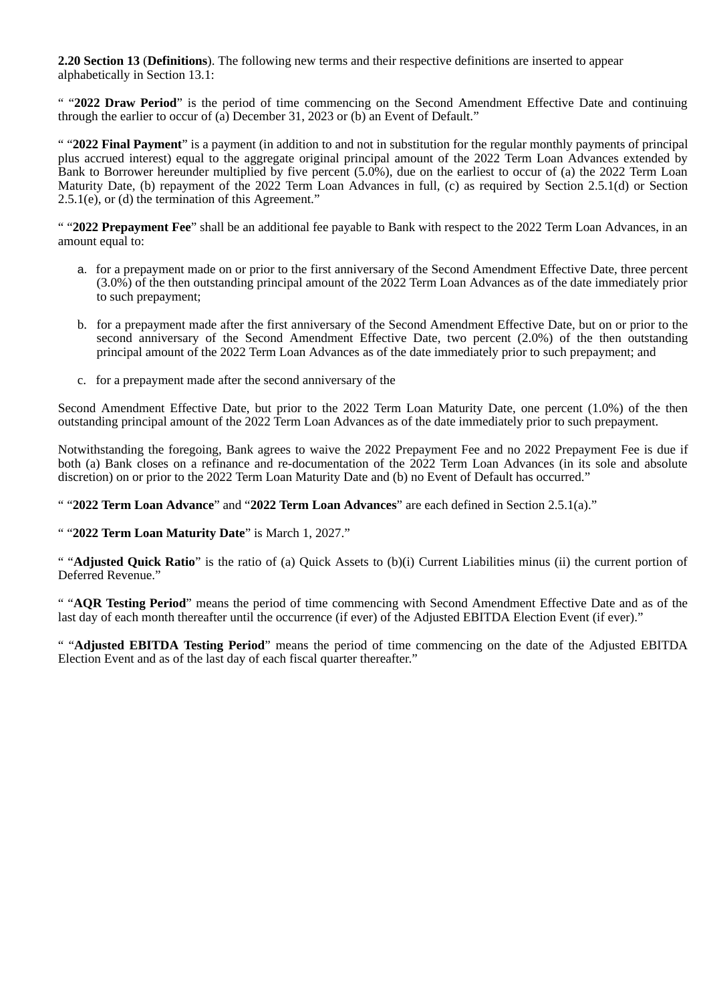**2.20 Section 13** (**Definitions**). The following new terms and their respective definitions are inserted to appear alphabetically in Section 13.1:

" "**2022 Draw Period**" is the period of time commencing on the Second Amendment Effective Date and continuing through the earlier to occur of (a) December 31, 2023 or (b) an Event of Default."

" "**2022 Final Payment**" is a payment (in addition to and not in substitution for the regular monthly payments of principal plus accrued interest) equal to the aggregate original principal amount of the 2022 Term Loan Advances extended by Bank to Borrower hereunder multiplied by five percent (5.0%), due on the earliest to occur of (a) the 2022 Term Loan Maturity Date, (b) repayment of the 2022 Term Loan Advances in full, (c) as required by Section 2.5.1(d) or Section 2.5.1(e), or (d) the termination of this Agreement."

" "**2022 Prepayment Fee**" shall be an additional fee payable to Bank with respect to the 2022 Term Loan Advances, in an amount equal to:

- a. for a prepayment made on or prior to the first anniversary of the Second Amendment Effective Date, three percent (3.0%) of the then outstanding principal amount of the 2022 Term Loan Advances as of the date immediately prior to such prepayment;
- b. for a prepayment made after the first anniversary of the Second Amendment Effective Date, but on or prior to the second anniversary of the Second Amendment Effective Date, two percent (2.0%) of the then outstanding principal amount of the 2022 Term Loan Advances as of the date immediately prior to such prepayment; and
- c. for a prepayment made after the second anniversary of the

Second Amendment Effective Date, but prior to the 2022 Term Loan Maturity Date, one percent (1.0%) of the then outstanding principal amount of the 2022 Term Loan Advances as of the date immediately prior to such prepayment.

Notwithstanding the foregoing, Bank agrees to waive the 2022 Prepayment Fee and no 2022 Prepayment Fee is due if both (a) Bank closes on a refinance and re-documentation of the 2022 Term Loan Advances (in its sole and absolute discretion) on or prior to the 2022 Term Loan Maturity Date and (b) no Event of Default has occurred."

" "**2022 Term Loan Advance**" and "**2022 Term Loan Advances**" are each defined in Section 2.5.1(a)."

" "**2022 Term Loan Maturity Date**" is March 1, 2027."

" "**Adjusted Quick Ratio**" is the ratio of (a) Quick Assets to (b)(i) Current Liabilities minus (ii) the current portion of Deferred Revenue."

" "**AQR Testing Period**" means the period of time commencing with Second Amendment Effective Date and as of the last day of each month thereafter until the occurrence (if ever) of the Adjusted EBITDA Election Event (if ever)."

" "**Adjusted EBITDA Testing Period**" means the period of time commencing on the date of the Adjusted EBITDA Election Event and as of the last day of each fiscal quarter thereafter."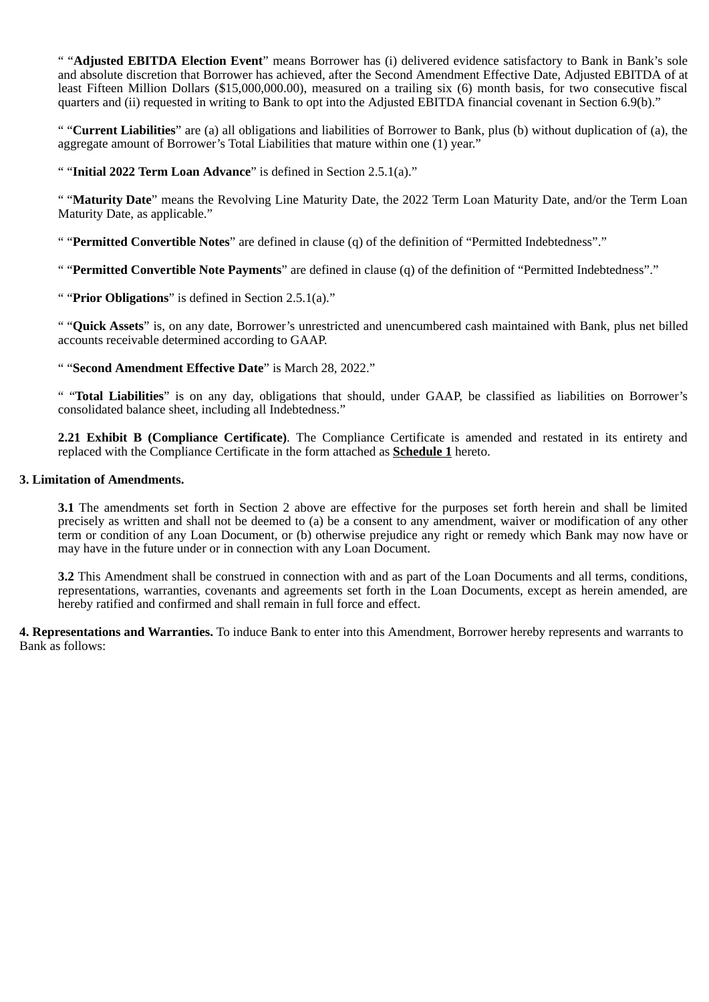" "**Adjusted EBITDA Election Event**" means Borrower has (i) delivered evidence satisfactory to Bank in Bank's sole and absolute discretion that Borrower has achieved, after the Second Amendment Effective Date, Adjusted EBITDA of at least Fifteen Million Dollars (\$15,000,000.00), measured on a trailing six (6) month basis, for two consecutive fiscal quarters and (ii) requested in writing to Bank to opt into the Adjusted EBITDA financial covenant in Section 6.9(b)."

" "**Current Liabilities**" are (a) all obligations and liabilities of Borrower to Bank, plus (b) without duplication of (a), the aggregate amount of Borrower's Total Liabilities that mature within one (1) year."

" "**Initial 2022 Term Loan Advance**" is defined in Section 2.5.1(a)."

" "**Maturity Date**" means the Revolving Line Maturity Date, the 2022 Term Loan Maturity Date, and/or the Term Loan Maturity Date, as applicable."

" "**Permitted Convertible Notes**" are defined in clause (q) of the definition of "Permitted Indebtedness"."

" "**Permitted Convertible Note Payments**" are defined in clause (q) of the definition of "Permitted Indebtedness"."

" "**Prior Obligations**" is defined in Section 2.5.1(a)."

" "**Quick Assets**" is, on any date, Borrower's unrestricted and unencumbered cash maintained with Bank, plus net billed accounts receivable determined according to GAAP.

" "**Second Amendment Effective Date**" is March 28, 2022."

" "**Total Liabilities**" is on any day, obligations that should, under GAAP, be classified as liabilities on Borrower's consolidated balance sheet, including all Indebtedness."

**2.21 Exhibit B (Compliance Certificate)**. The Compliance Certificate is amended and restated in its entirety and replaced with the Compliance Certificate in the form attached as **Schedule 1** hereto.

# **3. Limitation of Amendments.**

**3.1** The amendments set forth in Section 2 above are effective for the purposes set forth herein and shall be limited precisely as written and shall not be deemed to (a) be a consent to any amendment, waiver or modification of any other term or condition of any Loan Document, or (b) otherwise prejudice any right or remedy which Bank may now have or may have in the future under or in connection with any Loan Document.

**3.2** This Amendment shall be construed in connection with and as part of the Loan Documents and all terms, conditions, representations, warranties, covenants and agreements set forth in the Loan Documents, except as herein amended, are hereby ratified and confirmed and shall remain in full force and effect.

**4. Representations and Warranties.** To induce Bank to enter into this Amendment, Borrower hereby represents and warrants to Bank as follows: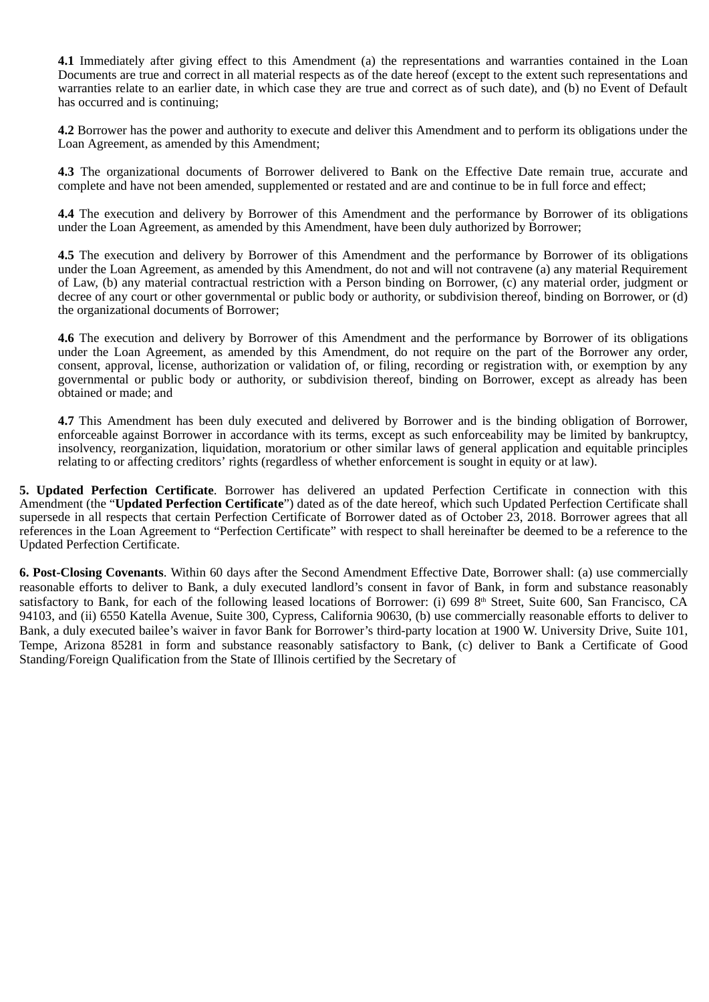**4.1** Immediately after giving effect to this Amendment (a) the representations and warranties contained in the Loan Documents are true and correct in all material respects as of the date hereof (except to the extent such representations and warranties relate to an earlier date, in which case they are true and correct as of such date), and (b) no Event of Default has occurred and is continuing;

**4.2** Borrower has the power and authority to execute and deliver this Amendment and to perform its obligations under the Loan Agreement, as amended by this Amendment;

**4.3** The organizational documents of Borrower delivered to Bank on the Effective Date remain true, accurate and complete and have not been amended, supplemented or restated and are and continue to be in full force and effect;

**4.4** The execution and delivery by Borrower of this Amendment and the performance by Borrower of its obligations under the Loan Agreement, as amended by this Amendment, have been duly authorized by Borrower;

**4.5** The execution and delivery by Borrower of this Amendment and the performance by Borrower of its obligations under the Loan Agreement, as amended by this Amendment, do not and will not contravene (a) any material Requirement of Law, (b) any material contractual restriction with a Person binding on Borrower, (c) any material order, judgment or decree of any court or other governmental or public body or authority, or subdivision thereof, binding on Borrower, or (d) the organizational documents of Borrower;

**4.6** The execution and delivery by Borrower of this Amendment and the performance by Borrower of its obligations under the Loan Agreement, as amended by this Amendment, do not require on the part of the Borrower any order, consent, approval, license, authorization or validation of, or filing, recording or registration with, or exemption by any governmental or public body or authority, or subdivision thereof, binding on Borrower, except as already has been obtained or made; and

**4.7** This Amendment has been duly executed and delivered by Borrower and is the binding obligation of Borrower, enforceable against Borrower in accordance with its terms, except as such enforceability may be limited by bankruptcy, insolvency, reorganization, liquidation, moratorium or other similar laws of general application and equitable principles relating to or affecting creditors' rights (regardless of whether enforcement is sought in equity or at law).

**5. Updated Perfection Certificate**. Borrower has delivered an updated Perfection Certificate in connection with this Amendment (the "**Updated Perfection Certificate**") dated as of the date hereof, which such Updated Perfection Certificate shall supersede in all respects that certain Perfection Certificate of Borrower dated as of October 23, 2018. Borrower agrees that all references in the Loan Agreement to "Perfection Certificate" with respect to shall hereinafter be deemed to be a reference to the Updated Perfection Certificate.

**6. Post-Closing Covenants**. Within 60 days after the Second Amendment Effective Date, Borrower shall: (a) use commercially reasonable efforts to deliver to Bank, a duly executed landlord's consent in favor of Bank, in form and substance reasonably satisfactory to Bank, for each of the following leased locations of Borrower: (i) 699 8<sup>th</sup> Street, Suite 600, San Francisco, CA 94103, and (ii) 6550 Katella Avenue, Suite 300, Cypress, California 90630, (b) use commercially reasonable efforts to deliver to Bank, a duly executed bailee's waiver in favor Bank for Borrower's third-party location at 1900 W. University Drive, Suite 101, Tempe, Arizona 85281 in form and substance reasonably satisfactory to Bank, (c) deliver to Bank a Certificate of Good Standing/Foreign Qualification from the State of Illinois certified by the Secretary of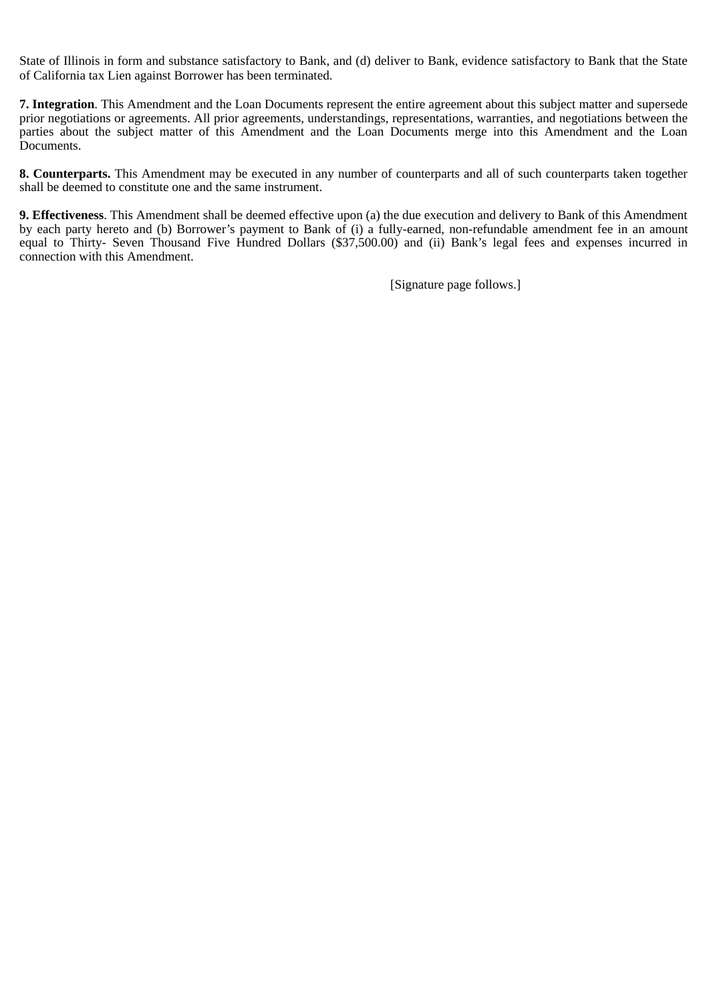State of Illinois in form and substance satisfactory to Bank, and (d) deliver to Bank, evidence satisfactory to Bank that the State of California tax Lien against Borrower has been terminated.

**7. Integration**. This Amendment and the Loan Documents represent the entire agreement about this subject matter and supersede prior negotiations or agreements. All prior agreements, understandings, representations, warranties, and negotiations between the parties about the subject matter of this Amendment and the Loan Documents merge into this Amendment and the Loan Documents.

**8. Counterparts.** This Amendment may be executed in any number of counterparts and all of such counterparts taken together shall be deemed to constitute one and the same instrument.

**9. Effectiveness**. This Amendment shall be deemed effective upon (a) the due execution and delivery to Bank of this Amendment by each party hereto and (b) Borrower's payment to Bank of (i) a fully-earned, non-refundable amendment fee in an amount equal to Thirty- Seven Thousand Five Hundred Dollars (\$37,500.00) and (ii) Bank's legal fees and expenses incurred in connection with this Amendment.

[Signature page follows.]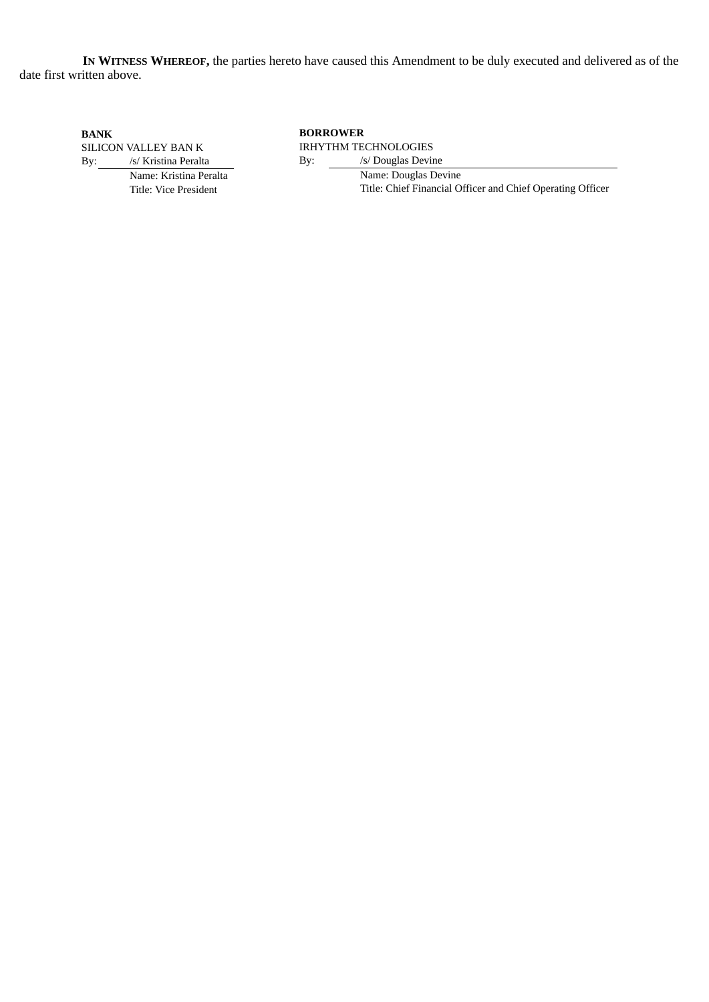**IN WITNESS WHEREOF,** the parties hereto have caused this Amendment to be duly executed and delivered as of the date first written above.

**BANK**

SILICON VALLEY BAN K By: /s/ Kristina Peralta Name: Kristina Peralta Title: Vice President

**BORROWER** IRHYTHM TECHNOLOGIES By: /s/ Douglas Devine Name: Douglas Devine Title: Chief Financial Officer and Chief Operating Officer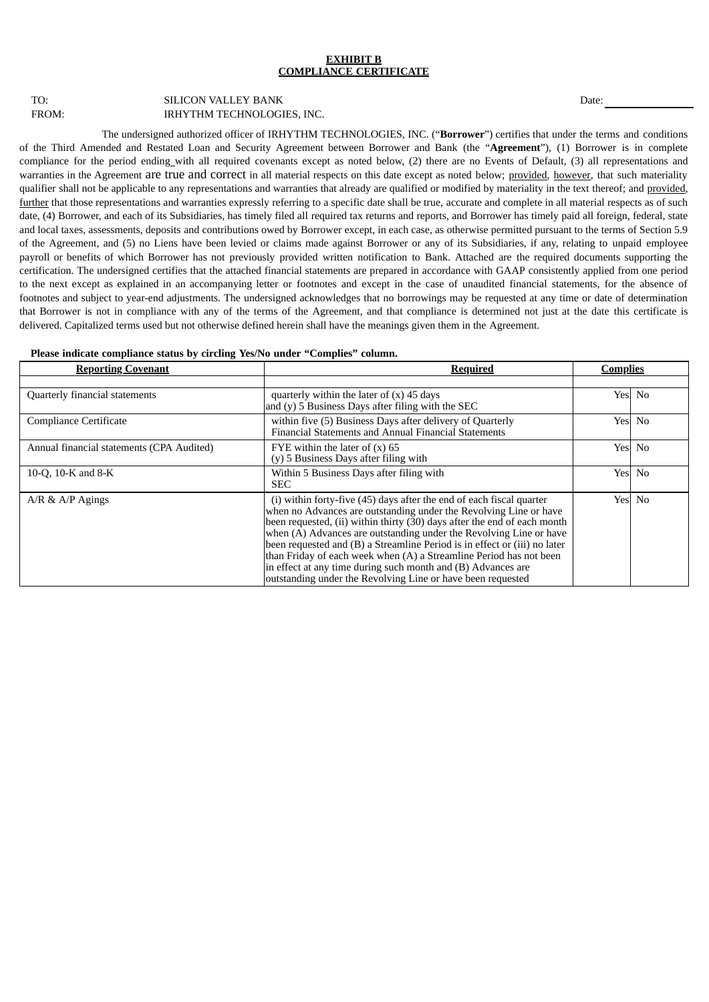#### **EXHIBIT B COMPLIANCE CERTIFICATE**

# TO: SILICON VALLEY BANK DATE: DATE: DATE: DATE: DATE: DATE: DATE: DATE: DATE: DATE: DATE: DATE: DATE: DATE: DATE: DATE: DATE: DATE: DATE: DATE: DATE: DATE: DATE: DATE: DATE: DATE: DATE: DATE: DATE: DATE: DATE: DATE: DATE: FROM: **IRHYTHM TECHNOLOGIES, INC.**

The undersigned authorized officer of IRHYTHM TECHNOLOGIES, INC. ("**Borrower**") certifies that under the terms and conditions of the Third Amended and Restated Loan and Security Agreement between Borrower and Bank (the "**Agreement**"), (1) Borrower is in complete compliance for the period ending with all required covenants except as noted below, (2) there are no Events of Default, (3) all representations and warranties in the Agreement are true and correct in all material respects on this date except as noted below; provided, however, that such materiality qualifier shall not be applicable to any representations and warranties that already are qualified or modified by materiality in the text thereof; and provided, further that those representations and warranties expressly referring to a specific date shall be true, accurate and complete in all material respects as of such date, (4) Borrower, and each of its Subsidiaries, has timely filed all required tax returns and reports, and Borrower has timely paid all foreign, federal, state and local taxes, assessments, deposits and contributions owed by Borrower except, in each case, as otherwise permitted pursuant to the terms of Section 5.9 of the Agreement, and (5) no Liens have been levied or claims made against Borrower or any of its Subsidiaries, if any, relating to unpaid employee payroll or benefits of which Borrower has not previously provided written notification to Bank. Attached are the required documents supporting the certification. The undersigned certifies that the attached financial statements are prepared in accordance with GAAP consistently applied from one period to the next except as explained in an accompanying letter or footnotes and except in the case of unaudited financial statements, for the absence of footnotes and subject to year-end adjustments. The undersigned acknowledges that no borrowings may be requested at any time or date of determination that Borrower is not in compliance with any of the terms of the Agreement, and that compliance is determined not just at the date this certificate is delivered. Capitalized terms used but not otherwise defined herein shall have the meanings given them in the Agreement.

#### **Please indicate compliance status by circling Yes/No under "Complies" column.**

| <b>Reporting Covenant</b>                 | <b>Required</b>                                                                                                                                                                                                                                                                                                                                                                                                                                                                                                                                                                 |  | <b>Complies</b> |  |
|-------------------------------------------|---------------------------------------------------------------------------------------------------------------------------------------------------------------------------------------------------------------------------------------------------------------------------------------------------------------------------------------------------------------------------------------------------------------------------------------------------------------------------------------------------------------------------------------------------------------------------------|--|-----------------|--|
|                                           |                                                                                                                                                                                                                                                                                                                                                                                                                                                                                                                                                                                 |  |                 |  |
| Quarterly financial statements            | quarterly within the later of $(x)$ 45 days<br>and $(y)$ 5 Business Days after filing with the SEC                                                                                                                                                                                                                                                                                                                                                                                                                                                                              |  | Yes No          |  |
| Compliance Certificate                    | within five (5) Business Days after delivery of Quarterly<br>Financial Statements and Annual Financial Statements                                                                                                                                                                                                                                                                                                                                                                                                                                                               |  | Yes No          |  |
| Annual financial statements (CPA Audited) | FYE within the later of $(x)$ 65<br>(y) 5 Business Days after filing with                                                                                                                                                                                                                                                                                                                                                                                                                                                                                                       |  | Yes No          |  |
| 10-Q, 10-K and 8-K                        | Within 5 Business Days after filing with<br><b>SEC</b>                                                                                                                                                                                                                                                                                                                                                                                                                                                                                                                          |  | Yes No          |  |
| $A/R \& A/P$ Agings                       | (i) within forty-five (45) days after the end of each fiscal quarter<br>when no Advances are outstanding under the Revolving Line or have<br>been requested, (ii) within thirty (30) days after the end of each month<br>when $(A)$ Advances are outstanding under the Revolving Line or have<br>been requested and (B) a Streamline Period is in effect or (iii) no later<br>than Friday of each week when (A) a Streamline Period has not been<br>in effect at any time during such month and (B) Advances are<br>outstanding under the Revolving Line or have been requested |  | Yes No          |  |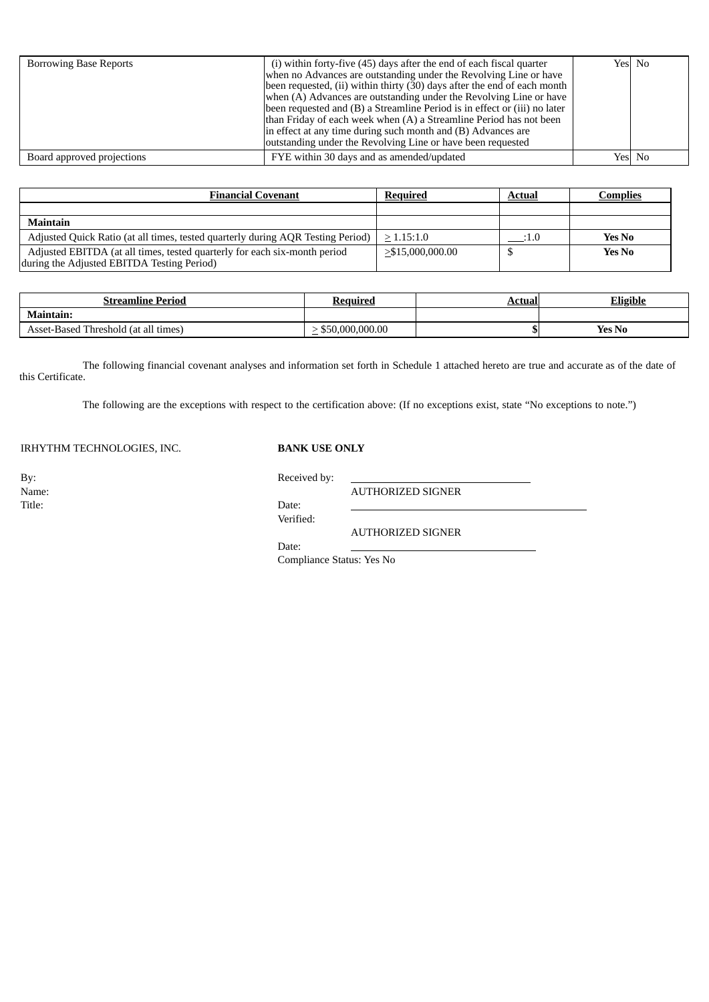| <b>Borrowing Base Reports</b> | (i) within forty-five (45) days after the end of each fiscal quarter<br>when no Advances are outstanding under the Revolving Line or have<br>been requested, (ii) within thirty (30) days after the end of each month<br>when (A) Advances are outstanding under the Revolving Line or have<br>been requested and (B) a Streamline Period is in effect or (iii) no later<br>than Friday of each week when $(A)$ a Streamline Period has not been<br>in effect at any time during such month and (B) Advances are<br>outstanding under the Revolving Line or have been requested | Yesl No |
|-------------------------------|---------------------------------------------------------------------------------------------------------------------------------------------------------------------------------------------------------------------------------------------------------------------------------------------------------------------------------------------------------------------------------------------------------------------------------------------------------------------------------------------------------------------------------------------------------------------------------|---------|
| Board approved projections    | FYE within 30 days and as amended/updated                                                                                                                                                                                                                                                                                                                                                                                                                                                                                                                                       | Yesl No |

| Financial Covenant                                                                                                      | Required          | <b>Actual</b> | Complies |
|-------------------------------------------------------------------------------------------------------------------------|-------------------|---------------|----------|
|                                                                                                                         |                   |               |          |
| <b>Maintain</b>                                                                                                         |                   |               |          |
| Adjusted Quick Ratio (at all times, tested quarterly during AQR Testing Period)                                         | >1.15:1.0         | :1.0          | Yes No   |
| Adjusted EBITDA (at all times, tested quarterly for each six-month period<br>during the Adjusted EBITDA Testing Period) | > \$15,000,000.00 |               | Yes No   |

| <b>Streamline Period</b>                  | Keamred         | <u>Actual</u> | <b>Eligible</b> |
|-------------------------------------------|-----------------|---------------|-----------------|
| <b>Maintain:</b>                          |                 |               |                 |
| l Threshold (at all times)<br>Asset-Based | \$50,000,000.00 | ٠D١           | <b>Yes No</b>   |

The following financial covenant analyses and information set forth in Schedule 1 attached hereto are true and accurate as of the date of this Certificate.

The following are the exceptions with respect to the certification above: (If no exceptions exist, state "No exceptions to note.")

# IRHYTHM TECHNOLOGIES, INC. **BANK USE ONLY**

By: Received by: Title: Date:

Name: AUTHORIZED SIGNER

Verified:

AUTHORIZED SIGNER

Date:

Compliance Status: Yes No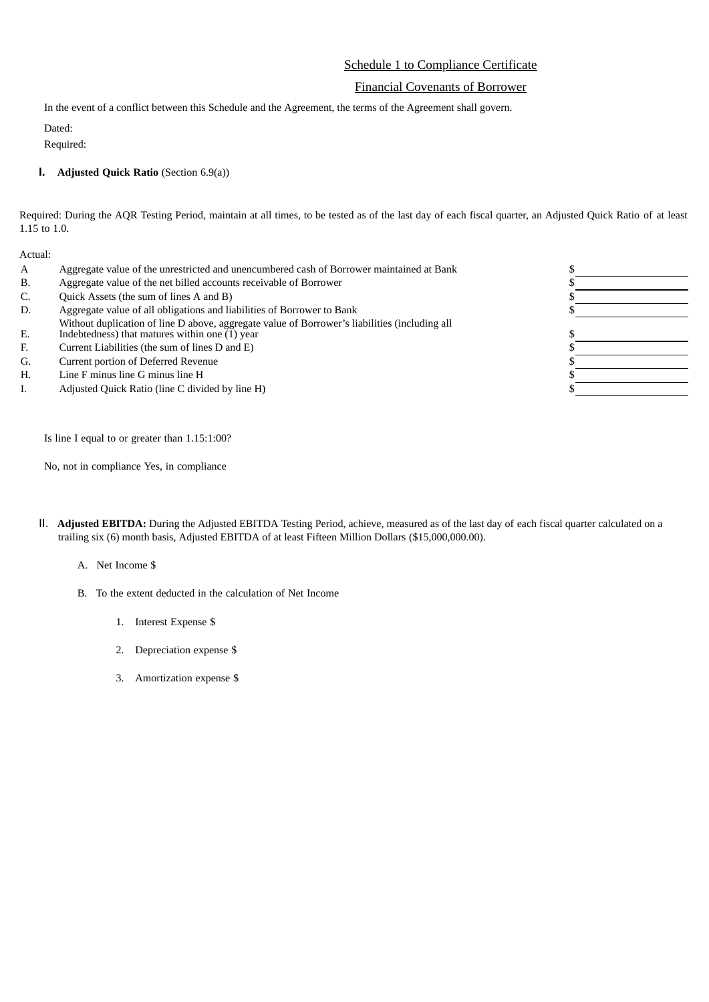# Schedule 1 to Compliance Certificate

# Financial Covenants of Borrower

In the event of a conflict between this Schedule and the Agreement, the terms of the Agreement shall govern.

Dated:

Required:

# **I. Adjusted Quick Ratio** (Section 6.9(a))

Required: During the AQR Testing Period, maintain at all times, to be tested as of the last day of each fiscal quarter, an Adjusted Quick Ratio of at least 1.15 to 1.0.

Actual:

A Aggregate value of the unrestricted and unencumbered cash of Borrower maintained at Bank \$ B. Aggregate value of the net billed accounts receivable of Borrower  $\$\$$ C. Quick Assets (the sum of lines A and B)  $\$ D. Aggregate value of all obligations and liabilities of Borrower to Bank  $\$\$ E. Without duplication of line D above, aggregate value of Borrower's liabilities (including all Indebtedness) that matures within one (1) year  $\frac{1}{2}$  year  $\frac{1}{2}$  and  $\frac{1}{2}$  and  $\frac{1}{2}$  and  $\frac{1}{2}$  and  $\frac{1}{2}$  and  $\frac{1}{2}$  and  $\frac{1}{2}$  and  $\frac{1}{2}$  and  $\frac{1}{2}$  and  $\frac{1}{2}$  and  $\frac{1}{2}$  and  $\frac{1$ F. Current Liabilities (the sum of lines D and E) S G. Current portion of Deferred Revenue **\$** 5 H. Line F minus line G minus line H  $\sim$ I. Adjusted Quick Ratio (line C divided by line H)  $\$ 

Is line I equal to or greater than 1.15:1:00?

No, not in compliance Yes, in compliance

- II. **Adjusted EBITDA:** During the Adjusted EBITDA Testing Period, achieve, measured as of the last day of each fiscal quarter calculated on a trailing six (6) month basis, Adjusted EBITDA of at least Fifteen Million Dollars (\$15,000,000.00).
	- A. Net Income \$
	- B. To the extent deducted in the calculation of Net Income
		- 1. Interest Expense \$
		- 2. Depreciation expense \$
		- 3. Amortization expense \$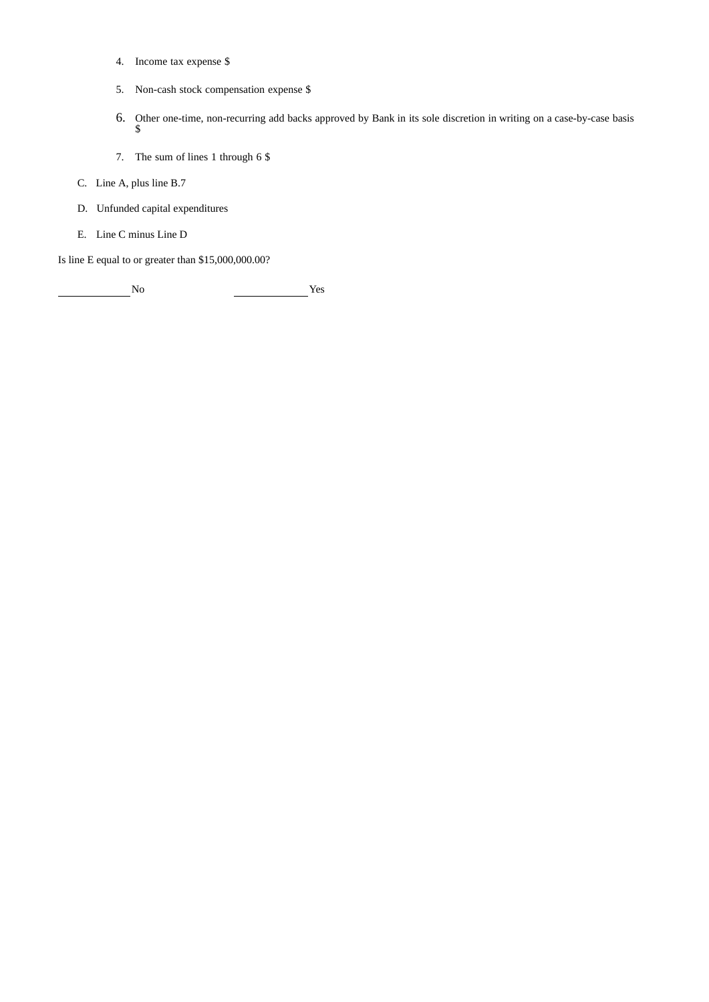- 4. Income tax expense \$
- 5. Non-cash stock compensation expense \$
- 6. Other one-time, non-recurring add backs approved by Bank in its sole discretion in writing on a case-by-case basis \$
- 7. The sum of lines 1 through 6 \$
- C. Line A, plus line B.7
- D. Unfunded capital expenditures
- E. Line C minus Line D

Is line E equal to or greater than \$15,000,000.00?

No Yes